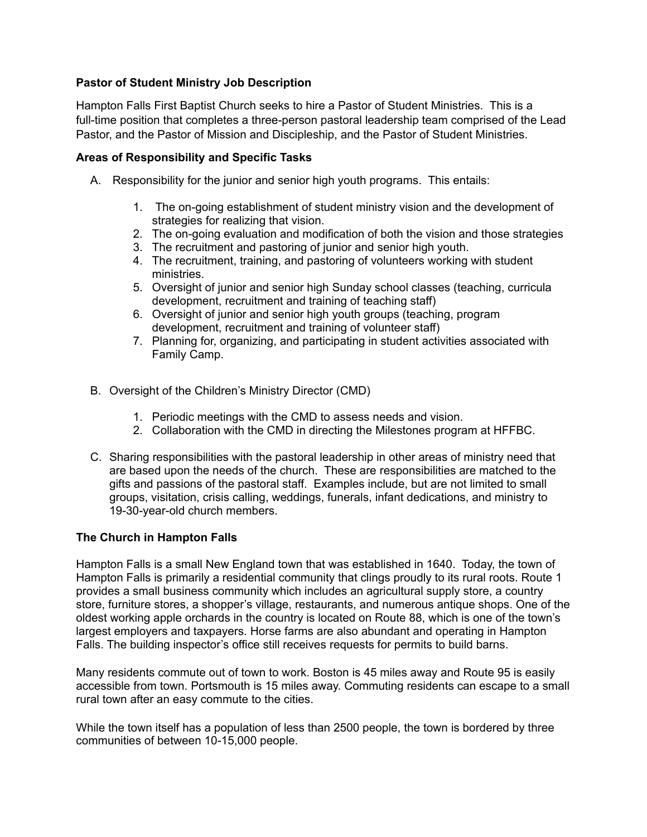# **Pastor of Student Ministry Job Description**

Hampton Falls First Baptist Church seeks to hire a Pastor of Student Ministries. This is a full-time position that completes a three-person pastoral leadership team comprised of the Lead Pastor, and the Pastor of Mission and Discipleship, and the Pastor of Student Ministries.

## **Areas of Responsibility and Specific Tasks**

- A. Responsibility for the junior and senior high youth programs. This entails:
	- 1. The on-going establishment of student ministry vision and the development of strategies for realizing that vision.
	- 2. The on-going evaluation and modification of both the vision and those strategies
	- 3. The recruitment and pastoring of junior and senior high youth.
	- 4. The recruitment, training, and pastoring of volunteers working with student ministries.
	- 5. Oversight of junior and senior high Sunday school classes (teaching, curricula development, recruitment and training of teaching staff)
	- 6. Oversight of junior and senior high youth groups (teaching, program development, recruitment and training of volunteer staff)
	- 7. Planning for, organizing, and participating in student activities associated with Family Camp.
- B. Oversight of the Children's Ministry Director (CMD)
	- 1. Periodic meetings with the CMD to assess needs and vision.
	- 2. Collaboration with the CMD in directing the Milestones program at HFFBC.
- C. Sharing responsibilities with the pastoral leadership in other areas of ministry need that are based upon the needs of the church. These are responsibilities are matched to the gifts and passions of the pastoral staff. Examples include, but are not limited to small groups, visitation, crisis calling, weddings, funerals, infant dedications, and ministry to 19-30-year-old church members.

## **The Church in Hampton Falls**

Hampton Falls is a small New England town that was established in 1640. Today, the town of Hampton Falls is primarily a residential community that clings proudly to its rural roots. Route 1 provides a small business community which includes an agricultural supply store, a country store, furniture stores, a shopper's village, restaurants, and numerous antique shops. One of the oldest working apple orchards in the country is located on Route 88, which is one of the town's largest employers and taxpayers. Horse farms are also abundant and operating in Hampton Falls. The building inspector's office still receives requests for permits to build barns.

Many residents commute out of town to work. Boston is 45 miles away and Route 95 is easily accessible from town. Portsmouth is 15 miles away. Commuting residents can escape to a small rural town after an easy commute to the cities.

While the town itself has a population of less than 2500 people, the town is bordered by three communities of between 10-15,000 people.